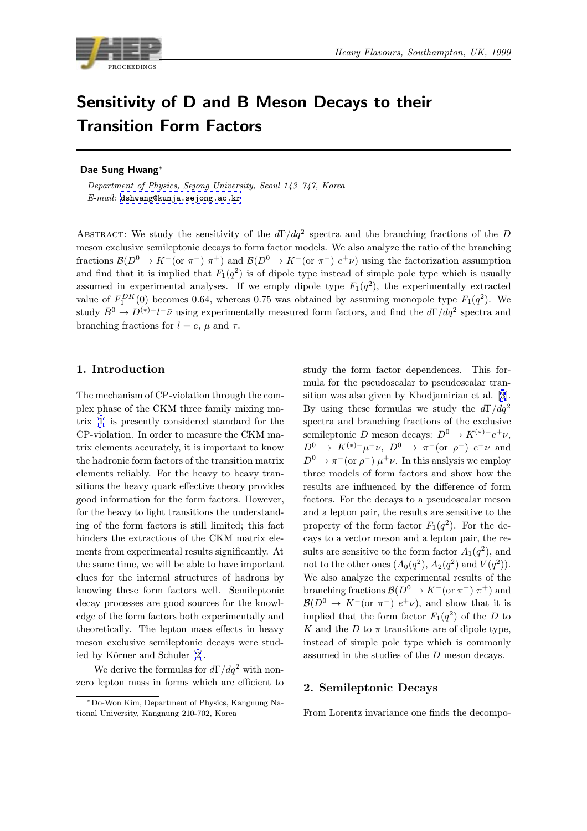

# Sensitivity of D and B Meson Decays to their Transition Form Factors

## Dae Sung Hwang<sup>∗</sup>

Department of Physics, Sejong University, Seoul 143–747, Korea  $E-mail:$  dshwang@kunja.sejong.ac.kr

ABSTRACT: We study the sensitivity of the  $d\Gamma/dq^2$  spectra and the branching fractions of the D meson exc[lusive semileptonic decays to](mailto:dshwang@kunja.sejong.ac.kr) form factor models. We also analyze the ratio of the branching fractions  $\mathcal{B}(D^0 \to K^-(\text{or }\pi^-)\pi^+)$  and  $\mathcal{B}(D^0 \to K^-(\text{or }\pi^-)\ e^+\nu)$  using the factorization assumption and find that it is implied that  $F_1(q^2)$  is of dipole type instead of simple pole type which is usually assumed in experimental analyses. If we emply dipole type  $F_1(q^2)$ , the experimentally extracted value of  $F_1^{DK}(0)$  becomes 0.64, whereas 0.75 was obtained by assuming monopole type  $F_1(q^2)$ . We study  $\bar{B}^0 \to D^{(*)+}l^-\bar{\nu}$  using experimentally measured form factors, and find the  $d\Gamma/dq^2$  spectra and branching fractions for  $l = e$ ,  $\mu$  and  $\tau$ .

## 1. Introduction

The mechanism of CP-violation through the complex phase of the CKM three family mixing matrix [1] is presently considered standard for the CP-violation. In order to measure the CKM matrix elements accurately, it is important to know the hadronic form factors of the transition matrix elem[en](#page-7-0)ts reliably. For the heavy to heavy transitions the heavy quark effective theory provides good information for the form factors. However, for the heavy to light transitions the understanding of the form factors is still limited; this fact hinders the extractions of the CKM matrix elements from experimental results significantly. At the same time, we will be able to have important clues for the internal structures of hadrons by knowing these form factors well. Semileptonic decay processes are good sources for the knowledge of the form factors both experimentally and theoretically. The lepton mass effects in heavy meson exclusive semileptonic decays were studied by Körner and Schuler [2].

We derive the formulas for  $d\Gamma/dq^2$  with nonzero lepton mass in forms which are efficient to study the form factor dependences. This formula for the pseudoscalar to pseudoscalar transition was also given by Khodjamirian et al. [3]. By using these formulas we study the  $d\Gamma/dq^2$ spectra and branching fractions of the exclusive semileptonic D meson decays:  $D^0 \to K^{(*)-}e^+\nu$ ,  $D^0 \rightarrow K^{(*)-}\mu^+\nu$  $D^0 \rightarrow K^{(*)-}\mu^+\nu$  $D^0 \rightarrow K^{(*)-}\mu^+\nu$ ,  $D^0 \rightarrow \pi^-($ or  $\rho^-$ )  $e^+\nu$  and  $D^0 \to \pi^-$  (or  $\rho^-$ )  $\mu^+ \nu$ . In this anslysis we employ three models of form factors and show how the results are influenced by the difference of form factors. For the decays to a pseudoscalar meson and a lepton pair, the results are sensitive to the property of the form factor  $F_1(q^2)$ . For the decays to a vector meson and a lepton pair, the results are sensitive to the form factor  $A_1(q^2)$ , and not to the other ones  $(A_0(q^2), A_2(q^2))$  and  $V(q^2)$ . We also analyze the experimental results of the branching fractions  $\mathcal{B}(D^0 \to K^-(\text{or }\pi^-) \pi^+)$  and  $\mathcal{B}(D^0 \to K^-(\text{or }\pi^-) e^+ \nu)$ , and show that it is implied that the form factor  $F_1(q^2)$  of the D to K and the D to  $\pi$  transitions are of dipole type, instead of simple pole type which is commonly assumed in the studies of the D meson decays.

### 2. Semileptonic Decays

From Lorentz invariance one finds the decompo-

<sup>∗</sup>Do-Won Kim, Department o[f P](#page-7-0)hysics, Kangnung National University, Kangnung 210-702, Korea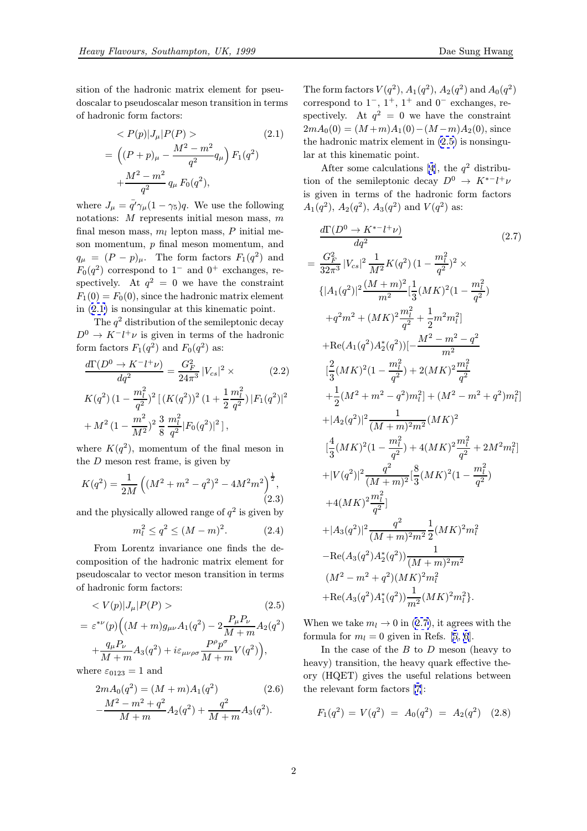<span id="page-1-0"></span>
$$
\langle P(p)|J_{\mu}|P(P) \rangle \qquad (2.1)
$$
  
= 
$$
\left((P+p)_{\mu} - \frac{M^2 - m^2}{q^2} q_{\mu}\right) F_1(q^2) + \frac{M^2 - m^2}{q^2} q_{\mu} F_0(q^2),
$$

where  $J_{\mu} = \bar{q'} \gamma_{\mu} (1 - \gamma_5) q$ . We use the following notations: M represents initial meson mass, m final meson mass,  $m_l$  lepton mass, P initial meson momentum,  $p$  final meson momentum, and  $q_{\mu} = (P - p)_{\mu}$ . The form factors  $F_1(q^2)$  and  $F_0(q^2)$  correspond to 1<sup>-</sup> and 0<sup>+</sup> exchanges, respectively. At  $q^2 = 0$  we have the constraint  $F_1(0) = F_0(0)$ , since the hadronic matrix element in (2.1) is nonsingular at this kinematic point.

The  $q^2$  distribution of the semileptonic decay  $D^0 \to K^- l^+ \nu$  is given in terms of the hadronic form factors  $F_1(q^2)$  and  $F_0(q^2)$  as:

$$
\frac{d\Gamma(D^0 \to K^- l^+ \nu)}{dq^2} = \frac{G_F^2}{24\pi^3} |V_{cs}|^2 \times
$$
 (2.2)

$$
\begin{split} &K(q^2)\,(1-\frac{m_l^2}{q^2})^2\,[\,(K(q^2))^2\,(1+\frac{1}{2}\frac{m_l^2}{q^2})\,|F_1(q^2)|^2\\ &+M^2\,(1-\frac{m^2}{M^2})^2\,\frac{3}{8}\,\frac{m_l^2}{q^2}|F_0(q^2)|^2\,]\,, \end{split}
$$

where  $K(q^2)$ , momentum of the final meson in the  $D$  meson rest frame, is given by

$$
K(q^{2}) = \frac{1}{2M} \left( (M^{2} + m^{2} - q^{2})^{2} - 4M^{2}m^{2} \right)^{\frac{1}{2}},
$$
\n(2.3)

and the physically allowed range of  $q^2$  is given by

$$
m_l^2 \le q^2 \le (M - m)^2. \tag{2.4}
$$

From Lorentz invariance one finds the decomposition of the hadronic matrix element for pseudoscalar to vector meson transition in terms of hadronic form factors:

$$
\langle V(p)|J_{\mu}|P(P) \rangle \tag{2.5}
$$

$$
= \varepsilon^{*\nu}(p) \Big( (M+m) g_{\mu\nu} A_1(q^2) - 2 \frac{P_{\mu} P_{\nu}}{M+m} A_2(q^2) + \frac{q_{\mu} P_{\nu}}{M+m} A_3(q^2) + i \varepsilon_{\mu\nu\rho\sigma} \frac{P^{\rho} p^{\sigma}}{M+m} V(q^2) \Big),
$$

where  $\varepsilon_{0123} = 1$  and

$$
2mA_0(q^2) = (M+m)A_1(q^2)
$$
\n
$$
-\frac{M^2 - m^2 + q^2}{M+m}A_2(q^2) + \frac{q^2}{M+m}A_3(q^2).
$$
\n(2.6)

The form factors  $V(q^2)$ ,  $A_1(q^2)$ ,  $A_2(q^2)$  and  $A_0(q^2)$ correspond to  $1^-, 1^+, 1^+$  and  $0^-$  exchanges, respectively. At  $q^2 = 0$  we have the constraint  $2mA_0(0) = (M+m)A_1(0) - (M-m)A_2(0)$ , since the hadronic matrix element in (2.5) is nonsingular at this kinematic point.

After some calculations [4], the  $q^2$  distribution of the semileptonic decay  $D^0 \rightarrow K^{*-} l^+ \nu$ is given in terms of the hadronic form factors  $A_1(q^2)$  $A_1(q^2)$  $A_1(q^2)$ ,  $A_2(q^2)$ ,  $A_3(q^2)$  and  $V(q^2)$  as:

$$
\frac{d\Gamma(D^0 \to K^{*-} l^+ \nu)}{dq^2} \qquad (2.7)
$$
\n
$$
= \frac{G_F^2}{32\pi^3} |V_{cs}|^2 \frac{1}{M^2} K(q^2) (1 - \frac{m_l^2}{q^2})^2 \times
$$
\n
$$
\{|A_1(q^2)|^2 \frac{(M+m)^2}{m^2} [\frac{1}{3}(MK)^2 (1 - \frac{m_l^2}{q^2})
$$
\n
$$
+q^2 m^2 + (MK)^2 \frac{m_l^2}{q^2} + \frac{1}{2} m^2 m_l^2]
$$
\n
$$
+ \text{Re}(A_1(q^2) A_2^*(q^2)) [-\frac{M^2 - m^2 - q^2}{m^2}]
$$
\n
$$
[\frac{2}{3}(MK)^2 (1 - \frac{m_l^2}{q^2}) + 2(MK)^2 \frac{m_l^2}{q^2}
$$
\n
$$
+ \frac{1}{2}(M^2 + m^2 - q^2) m_l^2] + (M^2 - m^2 + q^2) m_l^2]
$$
\n
$$
+ |A_2(q^2)|^2 \frac{1}{(M+m)^2 m^2} (MK)^2
$$
\n
$$
[\frac{4}{3}(MK)^2 (1 - \frac{m_l^2}{q^2}) + 4(MK)^2 \frac{m_l^2}{q^2} + 2M^2 m_l^2]
$$
\n
$$
+ |V(q^2)|^2 \frac{q^2}{(M+m)^2} [\frac{8}{3}(MK)^2 (1 - \frac{m_l^2}{q^2})
$$
\n
$$
+ 4(MK)^2 \frac{m_l^2}{q^2}]
$$
\n
$$
+ |A_3(q^2)|^2 \frac{q^2}{(M+m)^2 m^2} \frac{1}{2}(MK)^2 m_l^2
$$
\n
$$
- \text{Re}(A_3(q^2) A_2^*(q^2)) \frac{1}{(M+m)^2 m^2}
$$
\n
$$
(M^2 - m^2 + q^2)(MK)^2 m_l^2
$$
\n
$$
+ \text{Re}(A_3(q^2) A_1^*(q^2)) \frac{1}{m^2} (MK)^2 m_l^2.
$$

When we take  $m_l \to 0$  in (2.7), it agrees with the formula for  $m_l = 0$  given in Refs. [5, 6].

In the case of the  $B$  to  $D$  meson (heavy to heavy) transition, the heavy quark effective theory (HQET) gives the useful rela[tions](#page-7-0) between the relevant form factors [7]:

$$
F_1(q^2) = V(q^2) = A_0(q^2) = A_2(q^2) \quad (2.8)
$$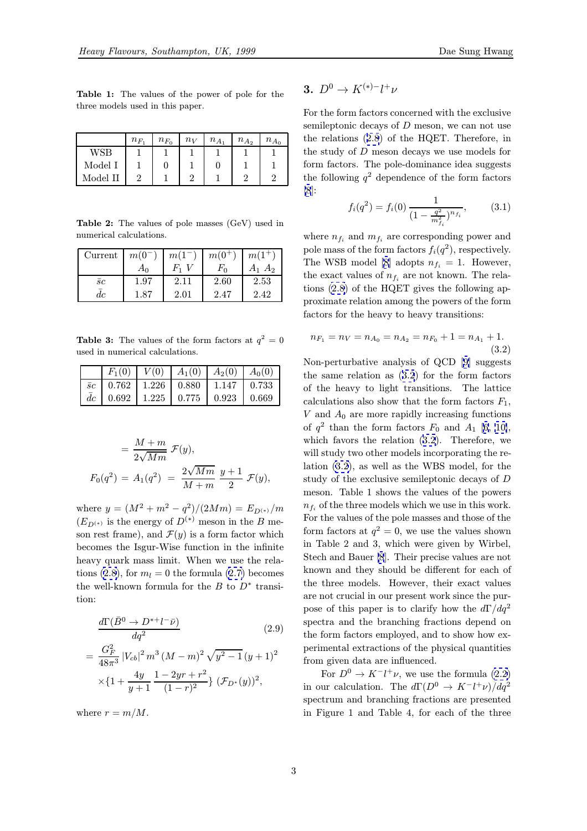<span id="page-2-0"></span>Table 1: The values of the power of pole for the three models used in this paper.

|            | $n_{F_1}$ | $n_{F_0}$ | $n_V$ | $n_{A_1}$ | $n_{A_2}$ | $n_{A_0}$ |
|------------|-----------|-----------|-------|-----------|-----------|-----------|
| <b>WSB</b> |           |           |       |           |           |           |
| Model I    |           |           |       |           |           |           |
| Model II   | റ         |           |       |           |           |           |

Table 2: The values of pole masses (GeV) used in numerical calculations.

| Current   | $m(0^{-})$ | $m(1^-)$ | $m(0^+)$ | $m(1^+)$    |
|-----------|------------|----------|----------|-------------|
|           | $A_0$      | $F_1$ V  | $F_0$    | $A_1$ $A_2$ |
| $\bar{c}$ | 1.97       | 2.11     | 2.60     | 2.53        |
| dc        | 1.87       | 2.01     | 2.47     | 2.42        |

**Table 3:** The values of the form factors at  $q^2 = 0$ used in numerical calculations.

|  |  | $F_1(0)$   $V(0)$   $A_1(0)$   $A_2(0)$   $A_0(0)$ |  |
|--|--|----------------------------------------------------|--|
|  |  | $\bar{c}$   0.762   1.226   0.880   1.147   0.733  |  |
|  |  | $\bar{dc}$   0.692   1.225   0.775   0.923   0.669 |  |

$$
= \frac{M+m}{2\sqrt{Mm}} \mathcal{F}(y),
$$
  

$$
F_0(q^2) = A_1(q^2) = \frac{2\sqrt{Mm}}{M+m} \frac{y+1}{2} \mathcal{F}(y),
$$

where  $y = (M^2 + m^2 - q^2)/(2Mm) = E_{D(*)}/m$  $(E_{D^{(*)}}$  is the energy of  $D^{(*)}$  meson in the B meson rest frame), and  $\mathcal{F}(y)$  is a form factor which becomes the Isgur-Wise function in the infinite heavy quark mass limit. When we use the relations (2.8), for  $m_l = 0$  the formula (2.7) becomes the well-known formula for the  $B$  to  $D^*$  transition:

$$
\frac{d\Gamma(\bar{B}^0 \to D^{*+}l^{-}\bar{\nu})}{dq^2} \qquad (2.9)
$$
\n
$$
= \frac{G_F^2}{48\pi^3} |V_{cb}|^2 m^3 (M-m)^2 \sqrt{y^2 - 1} (y+1)^2
$$
\n
$$
\times \left\{1 + \frac{4y}{y+1} \frac{1 - 2yr + r^2}{(1-r)^2}\right\} (\mathcal{F}_{D^*}(y))^2,
$$

where  $r = m/M$ .

$$
3. D^0 \rightarrow K^{(*)-} l^+ \nu
$$

For the form factors concerned with the exclusive semileptonic decays of  $D$  meson, we can not use the relations (2.8) of the HQET. Therefore, in the study of D meson decays we use models for form factors. The pole-dominance idea suggests the following  $q^2$  [d](#page-1-0)ependence of the form factors [8]:

$$
f_i(q^2) = f_i(0) \frac{1}{\left(1 - \frac{q^2}{m_{f_i}^2}\right)^{n_{f_i}}},\tag{3.1}
$$

[wh](#page-7-0)ere  $n_{f_i}$  and  $m_{f_i}$  are corresponding power and pole mass of the form factors  $f_i(q^2)$ , respectively. The WSB model [8] adopts  $n_{f_i} = 1$ . However, the exact values of  $n_{f_i}$  are not known. The relations (2.8) of the HQET gives the following approximate relation among the powers of the form factors for the hea[vy](#page-7-0) to heavy transitions:

$$
n_{F_1} = n_V = n_{A_0} = n_{A_2} = n_{F_0} + 1 = n_{A_1} + 1.
$$
\n(3.2)

Non-perturbative analysis of QCD [9] suggests the same relation as (3.2) for the form factors of the heavy to light transitions. The lattice calculations also show that the form factors  $F_1$ ,  $V$  and  $A_0$  are more rapidly increasin[g](#page-7-0) functions of  $q^2$  than the form factors  $F_0$  and  $A_1$  [6, 10], which favors the relation (3.2). Therefore, we will study two other models incorporating the relation (3.2), as well as the WBS model, for the study of the exclusive semileptonic decay[s](#page-7-0) [of](#page-7-0) D meson. Table 1 shows the values of the powers  $n_{f_i}$  of the three models which we use in this work. For the values of the pole masses and those of the form factors at  $q^2 = 0$ , we use the values shown in Table 2 and 3, which were given by Wirbel, Stech and Bauer [8]. Their precise values are not known and they should be different for each of the three models. However, their exact values are not crucial in our present work since the purpose of this pap[er](#page-7-0) is to clarify how the  $d\Gamma/dq^2$ spectra and the branching fractions depend on the form factors employed, and to show how experimental extractions of the physical quantities from given data are influenced.

For  $D^0 \to K^- l^+ \nu$ , we use the formula (2.2) in our calculation. The  $d\Gamma(D^0 \to K^- l^+ \nu)/dq^2$ spectrum and branching fractions are presented in Figure 1 and Table 4, for each of the t[hree](#page-1-0)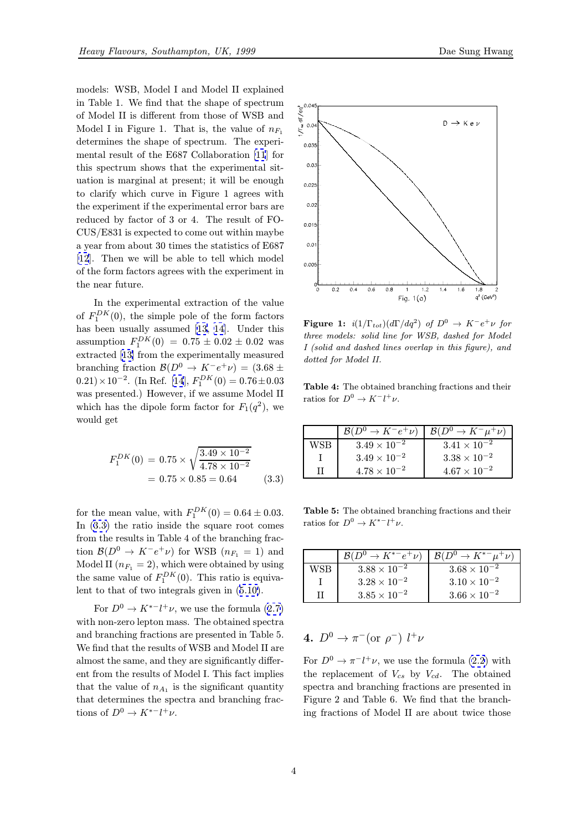models: WSB, Model I and Model II explained in Table 1. We find that the shape of spectrum of Model II is different from those of WSB and Model I in Figure 1. That is, the value of  $n_{F_1}$ determines the shape of spectrum. The experimental result of the E687 Collaboration [11] for this spectrum shows that the experimental situation is marginal at present; it will be enough to clarify which curve in Figure 1 agrees with the experiment if the experimental error b[ars](#page-7-0) are reduced by factor of 3 or 4. The result of FO-CUS/E831 is expected to come out within maybe a year from about 30 times the statistics of E687 [12]. Then we will be able to tell which model of the form factors agrees with the experiment in the near future.

In the experimental extraction of the value [of](#page-7-0)  $F_1^{DK}(0)$ , the simple pole of the form factors has been usually assumed [13, 14]. Under this assumption  $F_1^{DK}(0) = 0.75 \pm 0.02 \pm 0.02$  was extracted [13] from the experimentally measured branching fraction  $\mathcal{B}(D^0 \to K^-e^+\nu) = (3.68 \pm$  $(0.21) \times 10^{-2}$ . (In Ref. [14],  $F_1^{DK}(0) = 0.76 \pm 0.03$  $F_1^{DK}(0) = 0.76 \pm 0.03$  $F_1^{DK}(0) = 0.76 \pm 0.03$  $F_1^{DK}(0) = 0.76 \pm 0.03$  $F_1^{DK}(0) = 0.76 \pm 0.03$ was presented.) However, if we assume Model II which has [th](#page-7-0)e dipole form factor for  $F_1(q^2)$ , we would get

$$
F_1^{DK}(0) = 0.75 \times \sqrt{\frac{3.49 \times 10^{-2}}{4.78 \times 10^{-2}}}
$$
  
= 0.75 \times 0.85 = 0.64 (3.3)

for the mean value, with  $F_1^{DK}(0) = 0.64 \pm 0.03$ . In (3.3) the ratio inside the square root comes from the results in Table 4 of the branching fraction  $\mathcal{B}(D^0 \to K^-e^+\nu)$  for WSB  $(n_{F_1} = 1)$  and Model II  $(n_{F_1} = 2)$ , which were obtained by using the same value of  $F_1^{DK}(0)$ . This ratio is equivalent to that of two integrals given in (5.10).

For  $D^0 \to K^{*-} l^+ \nu$ , we use the formula (2.7) with non-zero lepton mass. The obtained spectra and branching fractions are presented [in Ta](#page-5-0)ble 5. We find that the results of WSB and Model II are almost the same, and they are significantly di[ffer](#page-1-0)ent from the results of Model I. This fact implies that the value of  $n_{A_1}$  is the significant quantity that determines the spectra and branching fractions of  $D^0 \to K^{*-}l^+\nu$ .



**Figure 1:**  $i(1/\Gamma_{tot})(d\Gamma/dq^2)$  of  $D^0 \rightarrow K^-e^+\nu$  for three models: solid line for WSB, dashed for Model I (solid and dashed lines overlap in this figure), and dotted for Model II.

Table 4: The obtained branching fractions and their ratios for  $D^0 \to K^- l^+ \nu$ .

|     | $\mathcal{B}(D^0 \to K^- e^+ \nu)$ $\mathcal{B}(D^0 \to K^- \mu^+ \nu)$ |                       |
|-----|-------------------------------------------------------------------------|-----------------------|
| VSR | $3.49 \times 10^{-2}$                                                   | $3.41 \times 10^{-2}$ |
|     | $3.49 \times 10^{-2}$                                                   | $3.38 \times 10^{-2}$ |
|     | $4.78 \times 10^{-2}$                                                   | $4.67 \times 10^{-2}$ |

Table 5: The obtained branching fractions and their ratios for  $D^0 \to K^{*-} l^+ \nu$ .

|            | $\mathcal{B}(D^0 \to K^{*-}e^+\nu)$ $\mathcal{B}(D^0 \to K^{*-}\mu^+\nu)$ |                       |
|------------|---------------------------------------------------------------------------|-----------------------|
| <b>WSB</b> | $3.88 \times 10^{-2}$                                                     | $3.68 \times 10^{-2}$ |
|            | $3.28 \times 10^{-2}$                                                     | $3.10 \times 10^{-2}$ |
|            | $3.85 \times 10^{-2}$                                                     | $3.66 \times 10^{-2}$ |

## 4.  $D^0 \to \pi^-$  (or  $\rho^-$ )  $l^+ \nu$

For  $D^0 \to \pi^- l^+ \nu$ , we use the formula (2.2) with the replacement of  $V_{cs}$  by  $V_{cd}$ . The obtained spectra and branching fractions are presented in Figure 2 and Table 6. We find that the branching fractions of Model II are about t[wice](#page-1-0) those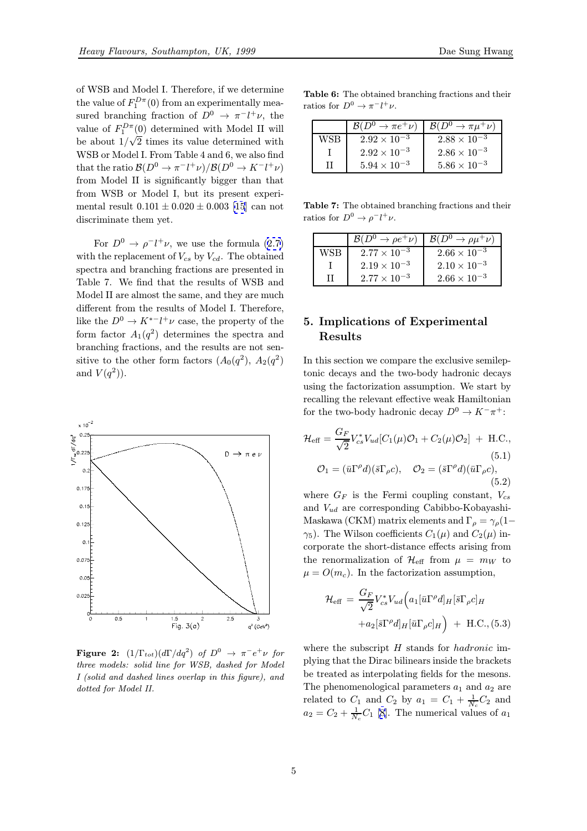<span id="page-4-0"></span>of WSB and Model I. Therefore, if we determine the value of  $F_1^{D\pi}(0)$  from an experimentally measured branching fraction of  $D^0 \to \pi^- l^+ \nu$ , the value of  $F_1^{D\pi}(0)$  determined with Model II will be about  $1/\sqrt{2}$  times its value determined with WSB or Model I. From Table 4 and 6, we also find that the ratio  $\mathcal{B}(D^0 \to \pi^- l^+ \nu) / \mathcal{B}(D^0 \to K^- l^+ \nu)$ from Model II is significantly bigger than that from WSB or Model I, but its present experimental result  $0.101 \pm 0.020 \pm 0.003$  [15] can not discriminate them yet.

For  $D^0 \to \rho^- l^+ \nu$ , we use the formula (2.7) with t[he](#page-7-0) replacement of  $V_{cs}$  by  $V_{cd}$ . The obtained spectra and branching fractions are presented in Table 7. We find that the results of WSB and Model II are almost the same, and they are [much](#page-1-0) different from the results of Model I. Therefore, like the  $D^0 \to K^{*-}l^+\nu$  case, the property of the form factor  $A_1(q^2)$  determines the spectra and branching fractions, and the results are not sensitive to the other form factors  $(A_0(q^2), A_2(q^2))$ and  $V(q^2)$ ).



**Figure 2:**  $(1/\Gamma_{tot})(d\Gamma/dq^2)$  of  $D^0 \rightarrow \pi^-e^+\nu$  for three models: solid line for WSB, dashed for Model I (solid and dashed lines overlap in this figure), and dotted for Model II.

Table 6: The obtained branching fractions and their ratios for  $D^0 \to \pi^- l^+ \nu$ .

|     | $\mathcal{B}(D^0 \to \pi e^+ \nu)$ | $\mathcal{B}(D^0 \to \pi \mu^+ \nu)$ |
|-----|------------------------------------|--------------------------------------|
| WSB | $2.92 \times 10^{-3}$              | $2.88 \times 10^{-3}$                |
|     | $2.92 \times 10^{-3}$              | $2.86 \times 10^{-3}$                |
|     | $5.94 \times 10^{-3}$              | $5.86 \times 10^{-3}$                |

Table 7: The obtained branching fractions and their ratios for  $D^0 \to \rho^- l^+ \nu$ .

|     | $\mathcal{B}(D^0 \to \rho e^+ \nu)$ | $\mathcal{B}(D^0 \to \rho \mu^+ \nu)$ |
|-----|-------------------------------------|---------------------------------------|
| WSB | $2.77 \times 10^{-3}$               | $2.66 \times 10^{-3}$                 |
|     | $2.19 \times 10^{-3}$               | $2.10 \times 10^{-3}$                 |
| ш   | $2.77 \times 10^{-3}$               | $2.66 \times 10^{-3}$                 |

## 5. Implications of Experimental Results

In this section we compare the exclusive semileptonic decays and the two-body hadronic decays using the factorization assumption. We start by recalling the relevant effective weak Hamiltonian for the two-body hadronic decay  $D^0 \to K^-\pi^+$ :

$$
\mathcal{H}_{\text{eff}} = \frac{G_F}{\sqrt{2}} V_{cs}^* V_{ud} [C_1(\mu) \mathcal{O}_1 + C_2(\mu) \mathcal{O}_2] + \text{H.C.},
$$
  
\n
$$
\mathcal{O}_1 = (\bar{u} \Gamma^\rho d)(\bar{s} \Gamma_\rho c), \quad \mathcal{O}_2 = (\bar{s} \Gamma^\rho d)(\bar{u} \Gamma_\rho c),
$$
  
\n(5.2)

where  $G_F$  is the Fermi coupling constant,  $V_{cs}$ and  $V_{ud}$  are corresponding Cabibbo-Kobayashi-Maskawa (CKM) matrix elements and  $\Gamma_{\rho} = \gamma_{\rho} (1-\$  $\gamma_5$ ). The Wilson coefficients  $C_1(\mu)$  and  $C_2(\mu)$  incorporate the short-distance effects arising from the renormalization of  $\mathcal{H}_{\text{eff}}$  from  $\mu = m_W$  to  $\mu = O(m_c)$ . In the factorization assumption,

$$
\mathcal{H}_{\text{eff}} = \frac{G_F}{\sqrt{2}} V_{cs}^* V_{ud} \Big( a_1 [\bar{u} \Gamma^\rho d]_H [\bar{s} \Gamma_\rho c]_H \n+ a_2 [\bar{s} \Gamma^\rho d]_H [\bar{u} \Gamma_\rho c]_H \Big) + \text{H.C., (5.3)}
$$

where the subscript H stands for *hadronic* implying that the Dirac bilinears inside the brackets be treated as interpolating fields for the mesons. The phenomenological parameters  $a_1$  and  $a_2$  are related to  $C_1$  and  $C_2$  by  $a_1 = C_1 + \frac{1}{N_c}C_2$  and  $a_2 = C_2 + \frac{1}{N_c}C_1$  [8]. The numerical values of  $a_1$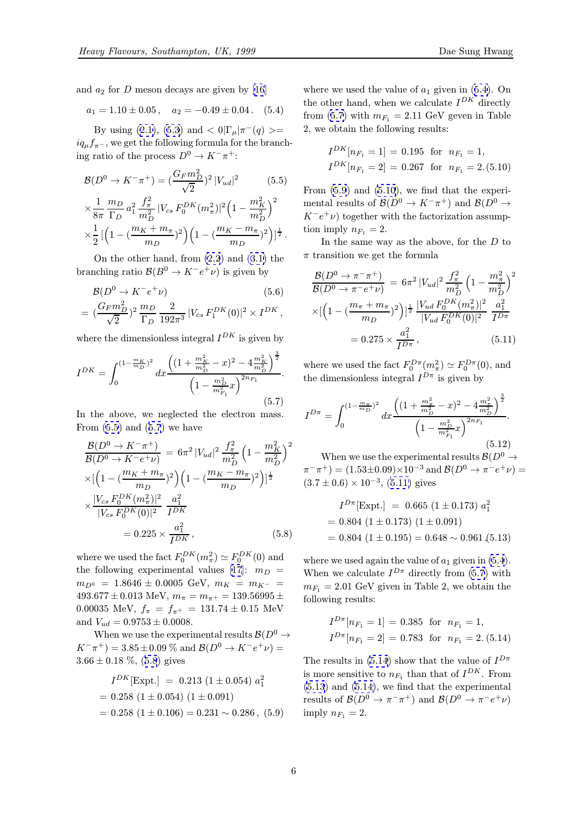<span id="page-5-0"></span>
$$
a_1 = 1.10 \pm 0.05
$$
,  $a_2 = -0.49 \pm 0.04$ . (5.4)

By using (2.1), (5.3) and  $\langle 0|\Gamma_\mu|\pi^-(q)\rangle =$  $iq_{\mu}f_{\pi^-}$ , w[e](#page-7-0) get the following formula for the [b](#page-7-0)ranching ratio of the process  $D^0 \to K^-\pi^+$ :

$$
\mathcal{B}(D^0 \to K^- \pi^+) = \left(\frac{G_F m_D^2}{\sqrt{2}}\right)^2 |V_{ud}|^2 \qquad (5.5)
$$
  

$$
\times \frac{1}{8\pi} \frac{m_D}{\Gamma_D} a_1^2 \frac{f_\pi^2}{m_D^2} |V_{cs} F_0^{DK} (m_\pi^2)|^2 \left(1 - \frac{m_K^2}{m_D^2}\right)^2
$$
  

$$
\times \frac{1}{2} \left[ \left(1 - \left(\frac{m_K + m_\pi}{m_D}\right)^2\right) \left(1 - \left(\frac{m_K - m_\pi}{m_D}\right)^2\right) \right]^{\frac{1}{2}}.
$$

On the other hand, from (2.2) and (3.1) the branching ratio  $\mathcal{B}(B^0 \to K^-e^+\nu)$  is given by

$$
\mathcal{B}(D^0 \to K^- e^+ \nu) \tag{5.6}
$$

$$
= (\frac{G_F m_D^2}{\sqrt{2}})^2 \frac{m_D}{\Gamma_D} \frac{2}{192\pi^3} |V_{cs} F_1^{DK}(0)|^2 \times I^{DK},
$$

where the dimensionless integral  $I^{DK}$  is given by

$$
I^{DK} = \int_0^{(1 - \frac{m_K}{m_D})^2} dx \frac{\left( (1 + \frac{m_K^2}{m_D^2} - x)^2 - 4 \frac{m_K^2}{m_D^2} \right)^{\frac{3}{2}}}{\left( 1 - \frac{m_D^2}{m_{F_1}^2} x \right)^{2n_{F_1}}}. \tag{5.7}
$$

In the above, we neglected the electron mass. From  $(5.5)$  and  $(5.7)$  we have

$$
\frac{\mathcal{B}(D^0 \to K^- \pi^+)}{\mathcal{B}(D^0 \to K^- e^+ \nu)} = 6\pi^2 |V_{ud}|^2 \frac{f_{\pi}^2}{m_D^2} \left(1 - \frac{m_K^2}{m_D^2}\right)^2
$$
  
\n
$$
\times \left[\left(1 - \left(\frac{m_K + m_{\pi}}{m_D}\right)^2\right) \left(1 - \left(\frac{m_K - m_{\pi}}{m_D}\right)^2\right)\right]^{\frac{1}{2}}
$$
  
\n
$$
\times \frac{|V_{cs} F_0^{DK}(m_{\pi}^2)|^2}{|V_{cs} F_0^{DK}(0)|^2} \frac{a_1^2}{I^{DK}}
$$
  
\n= 0.225 ×  $\frac{a_1^2}{I^{DK}}$ , (5.8)

where we used the fact  $F_0^{DK}(m_\pi^2) \simeq F_0^{DK}(0)$  and the following experimental values [17]:  $m_D =$  $m_{D^0} = 1.8646 \pm 0.0005 \text{ GeV}, m_K = m_{K^-} =$  $493.677 \pm 0.013$  MeV,  $m_{\pi} = m_{\pi^+} = 139.56995 \pm$ 0.00035 MeV,  $f_{\pi} = f_{\pi^+} = 131.74 \pm 0.15$  MeV and  $V_{ud} = 0.9753 \pm 0.0008$ .

When we use the experimental results  $\mathcal{B}(D^0 \to$  $K^-\pi^+)=3.85\pm0.09\%$  and  $\mathcal{B}(D^0\to K^-e^+\nu)=$  $3.66 \pm 0.18$  %, (5.8) gives

$$
I^{DK}[\text{Expt.}] = 0.213 (1 \pm 0.054) a_1^2
$$
  
= 0.258 (1 \pm 0.054) (1 \pm 0.091)  
= 0.258 (1 \pm 0.106) = 0.231 ~ 0.286 , (5.9)

where we used the value of  $a_1$  given in (5.4). On the other hand, when we calculate  $I^{DK}$  directly from (5.7) with  $m_{F_1} = 2.11$  GeV geven in Table 2, we obtain the following results:

$$
I^{DK}[n_{F_1} = 1] = 0.195 \text{ for } n_{F_1} = 1,
$$
  

$$
I^{DK}[n_{F_1} = 2] = 0.267 \text{ for } n_{F_1} = 2.(5.10)
$$

From (5.9) and (5.10), we find that the experimental results of  $\mathcal{B}(D^0 \to K^-\pi^+)$  and  $\mathcal{B}(D^0 \to$  $K^-e^+\nu$ ) together with the factorization assumption imply  $n_{F_1} = 2$ .

In the same way as the above, for the  $D$  to  $\pi$  transition we get the formula

$$
\frac{\mathcal{B}(D^0 \to \pi^- \pi^+)}{\mathcal{B}(D^0 \to \pi^- e^+ \nu)} = 6\pi^2 |V_{ud}|^2 \frac{f_\pi^2}{m_D^2} \left(1 - \frac{m_\pi^2}{m_D^2}\right)^2
$$

$$
\times \left[\left(1 - \left(\frac{m_\pi + m_\pi}{m_D}\right)^2\right)\right]^{\frac{1}{2}} \frac{|V_{ud} F_0^{DK}(m_\pi^2)|^2}{|V_{ud} F_0^{DK}(0)|^2} \frac{a_1^2}{I^{D\pi}}
$$

$$
= 0.275 \times \frac{a_1^2}{I^{D\pi}}, \qquad (5.11)
$$

where we used the fact  $F_0^{D\pi}(m_\pi^2) \simeq F_0^{D\pi}(0)$ , and the dimensionless integral  $I^{D\pi}$  is given by

$$
I^{D\pi} = \int_0^{(1 - \frac{m_\pi}{m_D})^2} dx \frac{\left( (1 + \frac{m_\pi^2}{m_D^2} - x)^2 - 4 \frac{m_\pi^2}{m_D^2} \right)^{\frac{3}{2}}}{\left( 1 - \frac{m_D^2}{m_{F_1}^2} x \right)^{2n_{F_1}}}.
$$
\n(5.12)

When we use the experimental results  $\mathcal{B}(D^0 \to$  $(\pi^-\pi^+) = (1.53 \pm 0.09) \times 10^{-3}$  and  $\mathcal{B}(D^0 \to \pi^- e^+ \nu) =$  $(3.7 \pm 0.6) \times 10^{-3}$ ,  $(5.11)$  gives

$$
I^{D\pi}[\text{Expt.}] = 0.665 (1 \pm 0.173) a_1^2
$$
  
= 0.804 (1 \pm 0.173) (1 \pm 0.091)  
= 0.804 (1 \pm 0.195) = 0.648 ~ 0.961 (5.13)

where we used again the value of  $a_1$  given in  $(5.4)$ . When we calculate  $I^{D\pi}$  directly from (5.7) with  $m_{F_1} = 2.01$  GeV given in Table 2, we obtain the following results:

$$
I^{D\pi}[n_{F_1} = 1] = 0.385 \text{ for } n_{F_1} = 1,
$$
  

$$
I^{D\pi}[n_{F_1} = 2] = 0.783 \text{ for } n_{F_1} = 2. (5.14)
$$

The results in (5.14) show that the value of  $I^{D\pi}$ is more sensitive to  $n_{F_1}$  than that of  $I^{DK}$ . From (5.13) and (5.14), we find that the experimental results of  $\mathcal{B}(D^0 \to \pi^- \pi^+)$  and  $\mathcal{B}(D^0 \to \pi^- e^+ \nu)$ imply  $n_{F_1} = 2$ .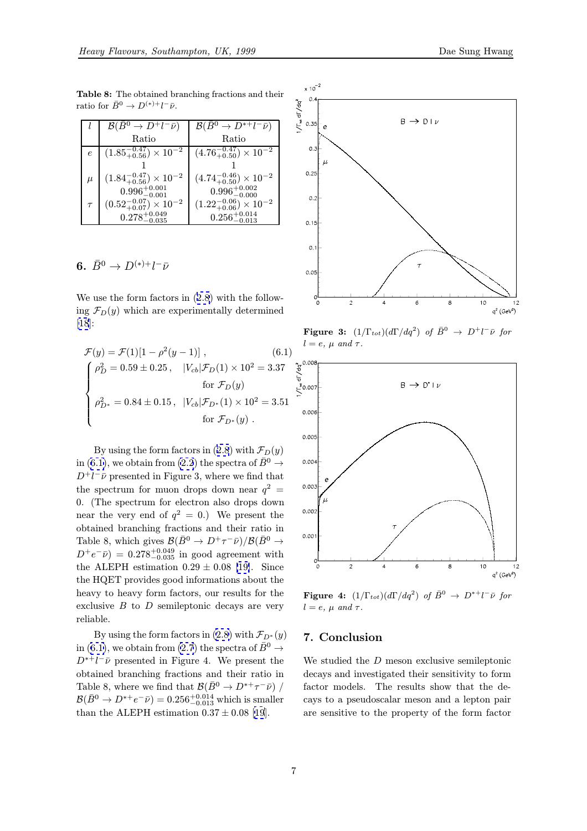Table 8: The obtained branching fractions and their ratio for  $\bar{B}^0 \to D^{(*)+} l^- \bar{\nu}$ .

|          | $\mathcal{B}(\bar{B}^0 \to D^+l^-\bar{\nu})$ | $\mathcal{B}(\bar{B}^0 \to D^{*+}l^-\bar{\nu})$ |
|----------|----------------------------------------------|-------------------------------------------------|
|          | Ratio                                        | Ratio                                           |
|          | $(1.85_{+0.56}^{-0.47}) \times 10^{-2}$      | $(4.76_{+0.50}^{-0.47}) \times 10^{-2}$         |
|          |                                              |                                                 |
| $_{\mu}$ | $(1.84^{-0.47}_{+0.56})\times10^{-2}$        | $(4.74^{-0.46}_{+0.50})\times10^{-2}$           |
|          | $0.996^{+0.001}_{-0.001}$                    | $0.996_{-0.000}^{+0.002}$                       |
|          | $(0.52_{+0.07}^{-0.07}) \times 10^{-2}$      | $(1.22_{+0.06}^{-0.06}) \times 10^{-2}$         |
|          | $0.278^{+0.049}_{-0.025}$                    | $0.256^{+0.014}_{-0.012}$                       |

## 6.  $\bar{B}^0 \to D^{(*)+} l^- \bar{\nu}$

We use the form factors in (2.8) with the following  $\mathcal{F}_D(y)$  which are experimentally determined [18]:

$$
\mathcal{F}(y) = \mathcal{F}(1)[1 - \rho^2(y - 1)], \qquad (6.1)
$$
\n
$$
\begin{cases}\n\rho_D^2 = 0.59 \pm 0.25, & |V_{cb}|\mathcal{F}_D(1) \times 10^2 = 3.37 \\
 & \text{for } \mathcal{F}_D(y) \\
\rho_{D^*}^2 = 0.84 \pm 0.15, & |V_{cb}|\mathcal{F}_{D^*}(1) \times 10^2 = 3.51 \\
 & \text{for } \mathcal{F}_{D^*}(y)\n\end{cases}
$$

By using the form factors in (2.8) with  $\mathcal{F}_D(y)$ in (6.1), we obtain from (2.2) the spectra of  $\bar{B}^0 \rightarrow$  $D^+l^-\bar{\nu}$  presented in Figure 3, where we find that the spectrum for muon drops down near  $q^2$  = 0. (The spectrum for electron [also](#page-1-0) drops down near the very end of  $q^2 = 0$  $q^2 = 0$  $q^2 = 0$ .) We present the obtained branching fractions and their ratio in Table 8, which gives  $\mathcal{B}(\bar{B}^0 \to D^+\tau^-\bar{\nu})/\mathcal{B}(\bar{B}^0 \to$  $D^+e^-\bar{\nu})=0.278^{+0.049}_{-0.035}$  in good agreement with the ALEPH estimation  $0.29 \pm 0.08$  [19]. Since the HQET provides good informations about the heavy to heavy form factors, our results for the exclusive  $B$  to  $D$  semileptonic deca[ys](#page-7-0) [a](#page-7-0)re very reliable.

By using the form factors in (2.8) with  $\mathcal{F}_{D^*}(y)$ in (6.1), we obtain from (2.7) the spectra of  $\bar{B}^0 \rightarrow$  $D^{*+}l^-\bar{\nu}$  presented in Figure 4. We present the obtained branching fractions and their ratio in Table 8, where we find that  $\mathcal{B}(\bar{B}^0 \to D^{*+}\tau^-\bar{\nu})$  /  $\mathcal{B}(\bar{B}^0 \to D^{*+}e^-\bar{\nu})=0.256^{+0.014}_{-0.013}$  $\mathcal{B}(\bar{B}^0 \to D^{*+}e^-\bar{\nu})=0.256^{+0.014}_{-0.013}$  $\mathcal{B}(\bar{B}^0 \to D^{*+}e^-\bar{\nu})=0.256^{+0.014}_{-0.013}$  which is smaller than the ALEPH estimation  $0.37 \pm 0.08$  [19].



**Figure 3:**  $(1/\Gamma_{tot})(d\Gamma/dq^2)$  of  $\bar{B}^0 \to D^+l^-\bar{\nu}$  for



**Figure 4:**  $(1/\Gamma_{tot})(d\Gamma/dq^2)$  of  $\bar{B}^0 \to D^{*+}l^-\bar{\nu}$  for  $l = e, \mu \text{ and } \tau.$ 

## 7. Conclusion

We studied the D meson exclusive semileptonic decays and investigated their sensitivity to form factor models. The results show that the decays to a pseudoscalar meson and a lepton pair are sensitive to the property of the form factor